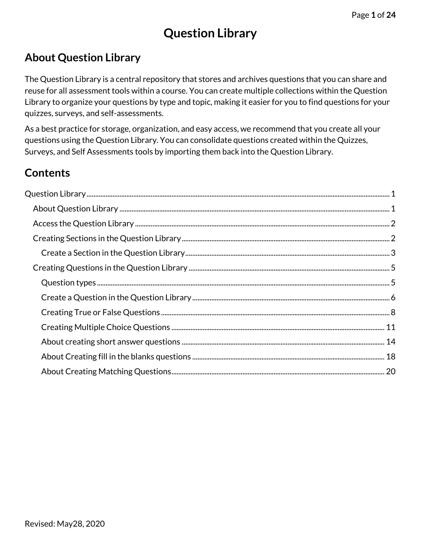# **Question Library**

# <span id="page-0-1"></span><span id="page-0-0"></span>**About Question Library**

The Question Library is a central repository that stores and archives questions that you can share and reuse for all assessment tools within a course. You can create multiple collections within the Question Library to organize your questions by type and topic, making it easier for you to find questions for your quizzes, surveys, and self-assessments.

As a best practice for storage, organization, and easy access, we recommend that you create all your questions using the Question Library. You can consolidate questions created within the Quizzes, Surveys, and Self Assessments tools by importing them back into the Question Library.

# **Contents**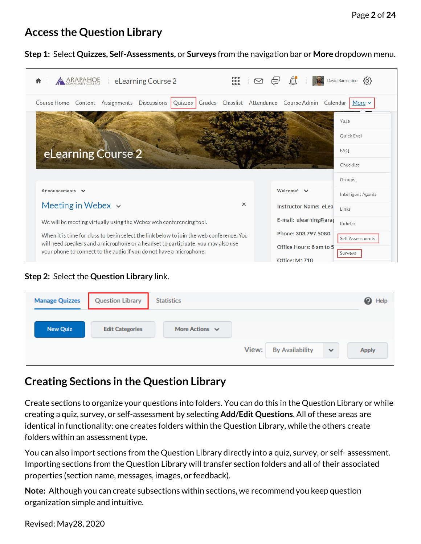# <span id="page-1-0"></span>**Access the Question Library**

#### **Step 1:** Select **Quizzes, Self-Assessments,** or **Surveys** from the navigation bar or **More** dropdown menu.

| ARAPAHOE<br>eLearning Course 2                                                                                                                                                | 器<br>David Barrentine                                                 | 50 <sup>2</sup>    |
|-------------------------------------------------------------------------------------------------------------------------------------------------------------------------------|-----------------------------------------------------------------------|--------------------|
| Course Home Content Assignments Discussions                                                                                                                                   | Grades Classlist Attendance Course Admin Calendar   More v<br>Quizzes |                    |
|                                                                                                                                                                               | YuJa                                                                  |                    |
|                                                                                                                                                                               | <b>Quick Eval</b>                                                     |                    |
| eLearning Course 2                                                                                                                                                            | <b>FAO</b>                                                            |                    |
|                                                                                                                                                                               |                                                                       |                    |
|                                                                                                                                                                               | Checklist                                                             |                    |
|                                                                                                                                                                               | Groups                                                                |                    |
| Announcements<br>$\checkmark$                                                                                                                                                 | Welcome! V                                                            | Intelligent Agents |
| Meeting in Webex $\sim$                                                                                                                                                       | $\times$<br>Instructor Name: eLea<br>Links                            |                    |
| We will be meeting virtually using the Webex web conferencing tool.                                                                                                           | E-mail: elearning@araj<br>Rubrics                                     |                    |
| When it is time for class to begin select the link below to join the web conference. You<br>will need speakers and a microphone or a headset to participate, you may also use | Phone: 303.797.5080                                                   | Self Assessments   |

#### **Step 2:** Select the **Question Library** link.

| <b>Manage Quizzes</b> | <b>Question Library</b> | <b>Statistics</b>   |                                 |              | <sup>O</sup> Help |
|-----------------------|-------------------------|---------------------|---------------------------------|--------------|-------------------|
| <b>New Quiz</b>       | <b>Edit Categories</b>  | More Actions $\vee$ |                                 |              |                   |
|                       |                         |                     | View:<br><b>By Availability</b> | $\checkmark$ | <b>Apply</b>      |

# <span id="page-1-1"></span>**Creating Sections in the Question Library**

Create sections to organize your questions into folders. You can do this in the Question Library or while creating a quiz, survey, or self-assessment by selecting **Add/Edit Questions**. All of these areas are identical in functionality: one creates folders within the Question Library, while the others create folders within an assessment type.

You can also import sections from the Question Library directly into a quiz, survey, or self- assessment. Importing sections from the Question Library will transfer section folders and all of their associated properties (section name, messages, images, or feedback).

**Note:** Although you can create subsections within sections, we recommend you keep question organization simple and intuitive.

Revised: May28, 2020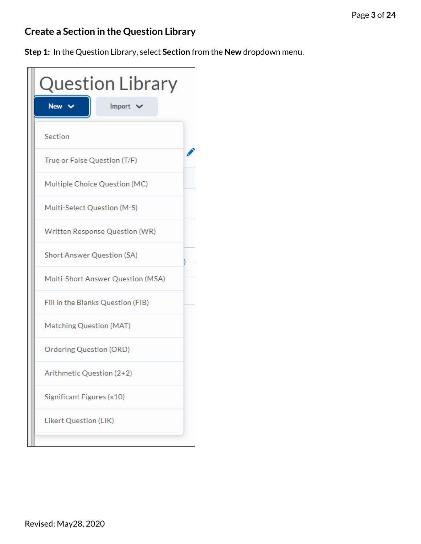# <span id="page-2-0"></span>**Create a Section in the Question Library**

**Step 1:** In the Question Library, select **Section** from the **New** dropdown menu.

| <b>Question Library</b>           |               |
|-----------------------------------|---------------|
| New '                             | Import $\vee$ |
| Section                           |               |
| True or False Question (T/F)      |               |
| Multiple Choice Question (MC)     |               |
| Multi-Select Question (M-S)       |               |
| Written Response Question (WR)    |               |
| <b>Short Answer Question (SA)</b> |               |
| Multi-Short Answer Question (MSA) |               |
| Fill in the Blanks Question (FIB) |               |
| Matching Question (MAT)           |               |
| <b>Ordering Question (ORD)</b>    |               |
| Arithmetic Question (2+2)         |               |
| Significant Figures (x10)         |               |
| Likert Question (LIK)             |               |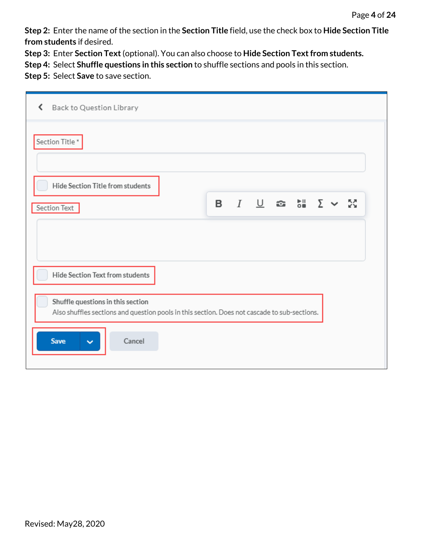**Step 2:** Enter the name of the section in the **Section Title** field, use the check box to **Hide Section Title from students** if desired.

**Step 3:** Enter **Section Text**(optional). You can also choose to **Hide Section Text from students.**

**Step 4:** Select **Shuffle questions in this section** to shuffle sections and pools in this section.

**Step 5:** Select **Save** to save section.

| Back to Question Library<br>≺                                                                                                     |                                      |  |
|-----------------------------------------------------------------------------------------------------------------------------------|--------------------------------------|--|
| Section Title*                                                                                                                    |                                      |  |
| Hide Section Title from students                                                                                                  |                                      |  |
| Section Text                                                                                                                      | <b>Β</b> <i>Ι</i> <u>∪</u> ☎ ଆ Σ ∨ ⊠ |  |
|                                                                                                                                   |                                      |  |
| Hide Section Text from students                                                                                                   |                                      |  |
| Shuffle questions in this section<br>Also shuffles sections and question pools in this section. Does not cascade to sub-sections. |                                      |  |
| <b>Save</b><br>Cancel<br>$\checkmark$                                                                                             |                                      |  |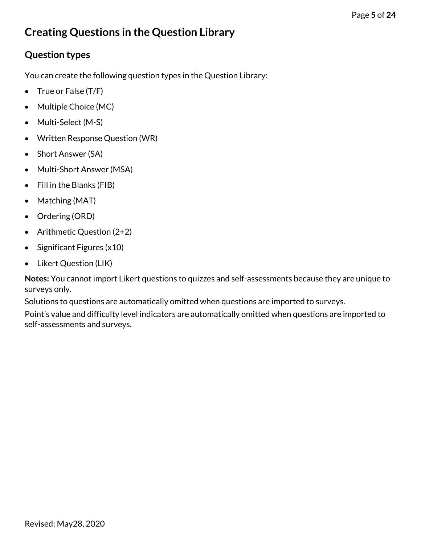# <span id="page-4-0"></span>**Creating Questions in the Question Library**

## <span id="page-4-1"></span>**Question types**

You can create the following question types in the Question Library:

- True or False (T/F)
- Multiple Choice (MC)
- Multi-Select (M-S)
- Written Response Question (WR)
- Short Answer (SA)
- Multi-Short Answer (MSA)
- Fill in the Blanks (FIB)
- Matching (MAT)
- Ordering (ORD)
- Arithmetic Question (2+2)
- Significant Figures (x10)
- Likert Question (LIK)

**Notes:** You cannot import Likert questions to quizzes and self-assessments because they are unique to surveys only.

Solutions to questions are automatically omitted when questions are imported to surveys.

Point's value and difficulty level indicators are automatically omitted when questions are imported to self-assessments and surveys.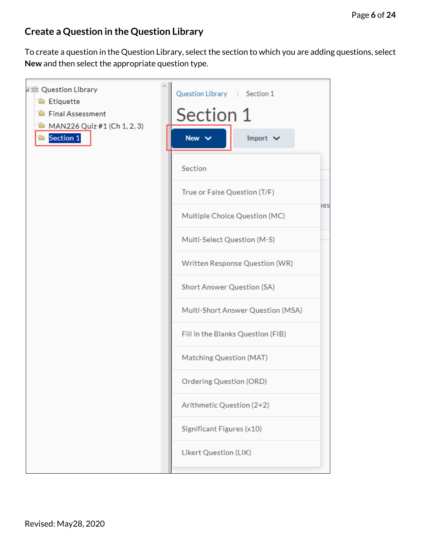## <span id="page-5-0"></span>**Create a Question in the Question Library**

To create a question in the Question Library, select the section to which you are adding questions, select **New** and then select the appropriate question type.

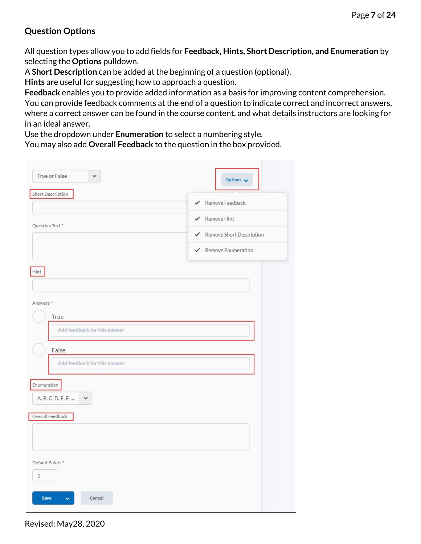### **Question Options**

All question types allow you to add fields for **Feedback, Hints, Short Description, and Enumeration** by selecting the **Options** pulldown.

A **Short Description** can be added at the beginning of a question (optional).

**Hints** are useful for suggesting how to approach a question.

**Feedback** enables you to provide added information as a basis for improving content comprehension. You can provide feedback comments at the end of a question to indicate correct and incorrect answers, where a correct answer can be found in the course content, and what details instructors are looking for in an ideal answer.

Use the dropdown under **Enumeration** to select a numbering style.

You may also add **Overall Feedback** to the question in the box provided.

| True or False<br>$\checkmark$                   | Options $\sqrt{}$          |
|-------------------------------------------------|----------------------------|
| Short Description                               | ← Remove Feedback          |
| Question Text *                                 | ← Remove Hint              |
|                                                 | ✔ Remove Short Description |
|                                                 | ← Remove Enumeration       |
| Hint                                            |                            |
| Answers <sup>*</sup><br>True                    |                            |
| Add feedback for this answer                    |                            |
| False                                           |                            |
| Add feedback for this answer                    |                            |
| Enumeration<br>A, B, C, D, E, F,<br>$\check{~}$ |                            |
| Overall Feedback                                |                            |
|                                                 |                            |
| Default Points*<br>$\mathbf{1}$                 |                            |
| Save<br>Cancel<br>v                             |                            |

Revised: May28, 2020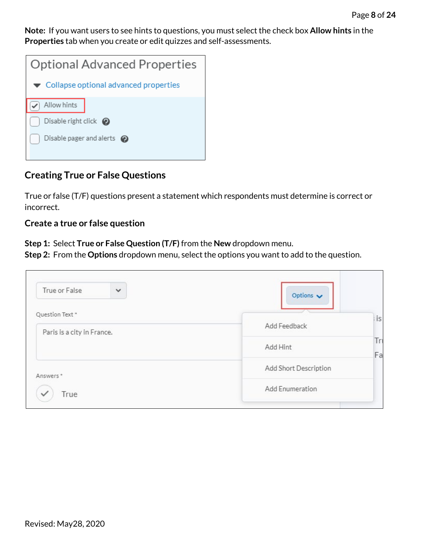**Note:** If you want users to see hints to questions, you must select the check box **Allow hints** in the **Properties** tab when you create or edit quizzes and self-assessments.

| <b>Optional Advanced Properties</b>                         |
|-------------------------------------------------------------|
| $\blacktriangleright$ Collapse optional advanced properties |
| Allow hints                                                 |
| Disable right click $\bigcirc$                              |
| Disable pager and alerts $\odot$                            |
|                                                             |

### <span id="page-7-0"></span>**Creating True or False Questions**

True or false (T/F) questions present a statement which respondents must determine is correct or incorrect.

#### **Create a true or false question**

**Step 1:** Select **True or False Question (T/F)** from the **New** dropdown menu.

**Step 2:** From the **Options** dropdown menu, select the options you want to add to the question.

| True or False<br>$\checkmark$ | Options $\smile$      |          |
|-------------------------------|-----------------------|----------|
| Question Text *               |                       | i is     |
| Paris is a city in France.    | Add Feedback          |          |
|                               | Add Hint              | Tr<br>Fa |
| Answers*                      | Add Short Description |          |
| True                          | Add Enumeration       |          |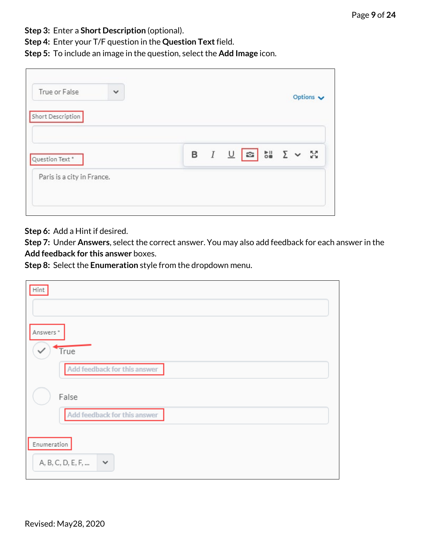**Step 3:** Enter a **Short Description** (optional).

**Step 4:** Enter your T/F question in the **Question Text**field.

**Step 5:** To include an image in the question, select the **Add Image** icon.

| True or False              | $\checkmark$ |  |                                                                   |  | Options $\smile$ |
|----------------------------|--------------|--|-------------------------------------------------------------------|--|------------------|
| Short Description          |              |  |                                                                   |  |                  |
| Question Text *            |              |  | <b>B</b> $I \perp \boxed{\infty}$ $\infty$ $\Sigma \times \Sigma$ |  |                  |
| Paris is a city in France. |              |  |                                                                   |  |                  |

**Step 6:** Add a Hint if desired.

**Step 7:** Under **Answers**, select the correct answer. You may also add feedback for each answer in the **Add feedback for this answer** boxes.

**Step 8:** Select the **Enumeration** style from the dropdown menu.

| Hint                                             |
|--------------------------------------------------|
|                                                  |
| Answers *                                        |
| True                                             |
| Add feedback for this answer                     |
| False                                            |
| Add feedback for this answer                     |
| Enumeration<br>A, B, C, D, E, F,<br>$\checkmark$ |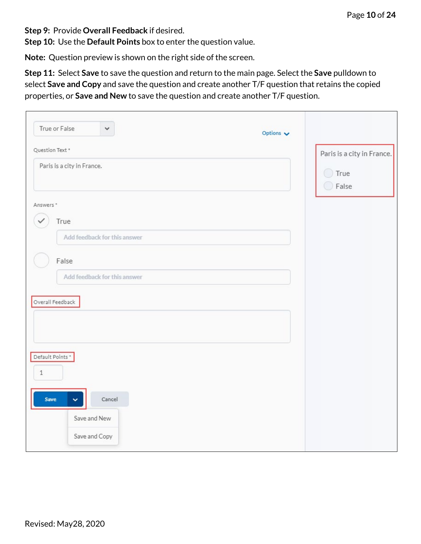**Step 9:** Provide **Overall Feedback** if desired.

**Step 10:** Use the **Default Points** box to enter the question value.

**Note:** Question preview is shown on the right side of the screen.

**Step 11:** Select **Save** to save the question and return to the main page. Select the **Save** pulldown to select **Save and Copy** and save the question and create another T/F question that retains the copied properties, or **Save and New** to save the question and create another T/F question.

<span id="page-9-0"></span>

| True or False<br>$\checkmark$                                                       | Options $\sqrt{}$ |                            |
|-------------------------------------------------------------------------------------|-------------------|----------------------------|
| Question Text *                                                                     |                   | Paris is a city in France. |
| Paris is a city in France.                                                          |                   | $\Box$ True<br>◯ False     |
| Answers *<br>True<br>Add feedback for this answer                                   |                   |                            |
| False<br>Add feedback for this answer<br>Overall Feedback                           |                   |                            |
| Default Points *<br>$\,1\,$<br>Save<br>Cancel<br>v<br>Save and New<br>Save and Copy |                   |                            |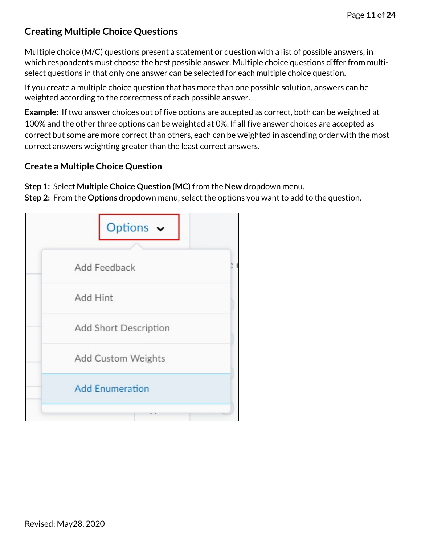## **Creating Multiple Choice Questions**

Multiple choice (M/C) questions present a statement or question with a list of possible answers, in which respondents must choose the best possible answer. Multiple choice questions differ from multiselect questions in that only one answer can be selected for each multiple choice question.

If you create a multiple choice question that has more than one possible solution, answers can be weighted according to the correctness of each possible answer.

**Example**: If two answer choices out of five options are accepted as correct, both can be weighted at 100% and the other three options can be weighted at 0%. If all five answer choices are accepted as correct but some are more correct than others, each can be weighted in ascending order with the most correct answers weighting greater than the least correct answers.

#### **Create a Multiple Choice Question**

**Step 1:** Select **Multiple Choice Question (MC)** from the **New** dropdown menu. **Step 2:** From the **Options** dropdown menu, select the options you want to add to the question.

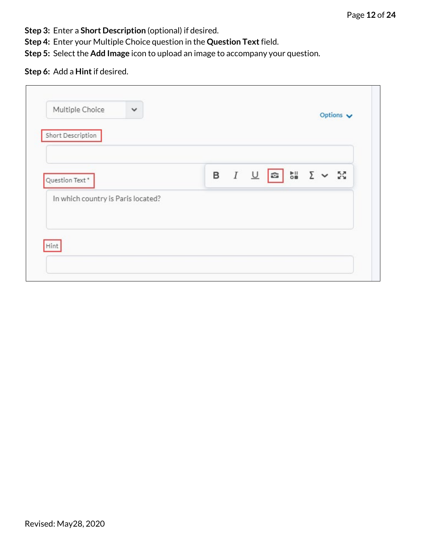- **Step 3:** Enter a **Short Description** (optional) if desired.
- **Step 4:** Enter your Multiple Choice question in the **Question Text**field.
- **Step 5:** Select the **Add Image** icon to upload an image to accompany your question.

#### **Step 6:** Add a **Hint**if desired.

| Short Description                  |  |  |  |
|------------------------------------|--|--|--|
| Question Text*                     |  |  |  |
| In which country is Paris located? |  |  |  |
|                                    |  |  |  |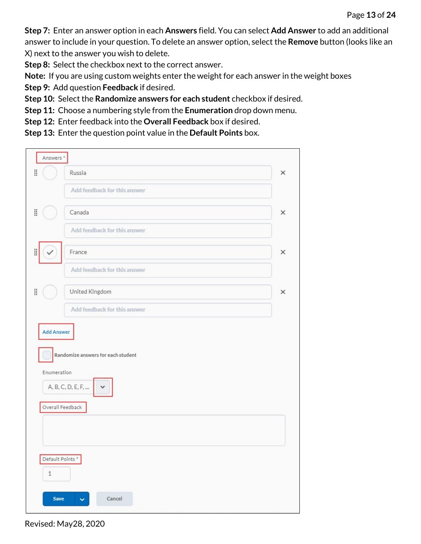**Step 7:** Enter an answer option in each **Answers** field. You can select **Add Answer** to add an additional answer to include in your question. To delete an answer option, select the **Remove** button (looks like an X) next to the answer you wish to delete.

**Step 8:** Select the checkbox next to the correct answer.

**Note:** If you are using custom weights enter the weight for each answer in the weight boxes

**Step 9:** Add question **Feedback** if desired.

**Step 10:** Select the **Randomize answers for each student** checkbox if desired.

**Step 11:** Choose a numbering style from the **Enumeration** drop down menu.

**Step 12:** Enter feedback into the **Overall Feedback** box if desired.

**Step 13:** Enter the question point value in the **Default Points** box.

| Answers *         |                                    |          |  |  |  |  |  |  |  |
|-------------------|------------------------------------|----------|--|--|--|--|--|--|--|
| ä                 | Russia                             | $\times$ |  |  |  |  |  |  |  |
|                   | Add feedback for this answer       |          |  |  |  |  |  |  |  |
| H                 | Canada                             |          |  |  |  |  |  |  |  |
|                   | Add feedback for this answer       |          |  |  |  |  |  |  |  |
| B                 | France                             | ×        |  |  |  |  |  |  |  |
|                   | Add feedback for this answer       |          |  |  |  |  |  |  |  |
| H                 | United Kingdom                     | $\times$ |  |  |  |  |  |  |  |
|                   | Add feedback for this answer       |          |  |  |  |  |  |  |  |
| <b>Add Answer</b> |                                    |          |  |  |  |  |  |  |  |
|                   | Randomize answers for each student |          |  |  |  |  |  |  |  |
| Enumeration       | A, B, C, D, E, F,                  |          |  |  |  |  |  |  |  |
|                   | Overall Feedback                   |          |  |  |  |  |  |  |  |
|                   |                                    |          |  |  |  |  |  |  |  |
|                   |                                    |          |  |  |  |  |  |  |  |
| Default Points *  |                                    |          |  |  |  |  |  |  |  |
| $\,1\,$           |                                    |          |  |  |  |  |  |  |  |
| <b>Save</b>       | Cancel<br>v                        |          |  |  |  |  |  |  |  |

Revised: May28, 2020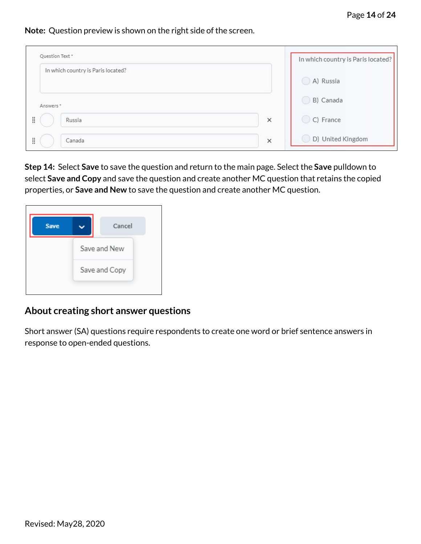#### **Note:** Question preview is shown on the right side of the screen.

| Question Text *                    | In which country is Paris located? |                   |
|------------------------------------|------------------------------------|-------------------|
| In which country is Paris located? |                                    | A) Russia         |
| Answers <sup>*</sup>               |                                    | B) Canada         |
| B<br>Russia                        | $\times$                           | C) France         |
| H<br>Canada                        | $\times$                           | D) United Kingdom |

**Step 14:** Select **Save** to save the question and return to the main page. Select the **Save** pulldown to select **Save and Copy** and save the question and create another MC question that retains the copied properties, or **Save and New** to save the question and create another MC question.

| Save | Cancel        |
|------|---------------|
|      | Save and New  |
|      | Save and Copy |
|      |               |

#### <span id="page-13-0"></span>**About creating short answer questions**

Short answer (SA) questions require respondents to create one word or brief sentence answers in response to open-ended questions.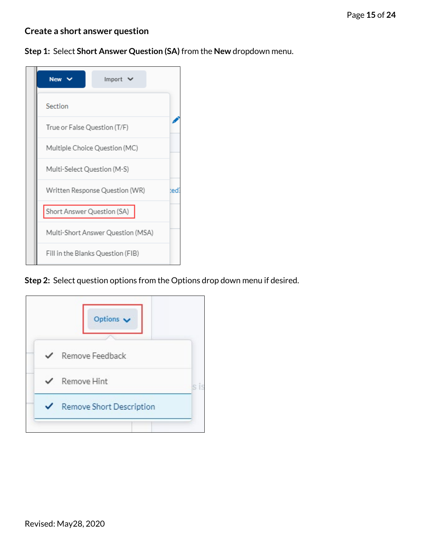#### **Create a short answer question**

**Step 1:** Select **Short Answer Question (SA)** from the **New** dropdown menu.

| <b>New</b>                    | Import $\vee$                     |     |  |  |  |  |  |  |  |  |
|-------------------------------|-----------------------------------|-----|--|--|--|--|--|--|--|--|
| Section                       |                                   |     |  |  |  |  |  |  |  |  |
| True or False Question (T/F)  |                                   |     |  |  |  |  |  |  |  |  |
| Multiple Choice Question (MC) |                                   |     |  |  |  |  |  |  |  |  |
| Multi-Select Question (M-S)   |                                   |     |  |  |  |  |  |  |  |  |
|                               | Written Response Question (WR)    | ted |  |  |  |  |  |  |  |  |
| Short Answer Question (SA)    |                                   |     |  |  |  |  |  |  |  |  |
|                               | Multi-Short Answer Question (MSA) |     |  |  |  |  |  |  |  |  |
|                               | Fill in the Blanks Question (FIB) |     |  |  |  |  |  |  |  |  |

**Step 2:** Select question options from the Options drop down menu if desired.

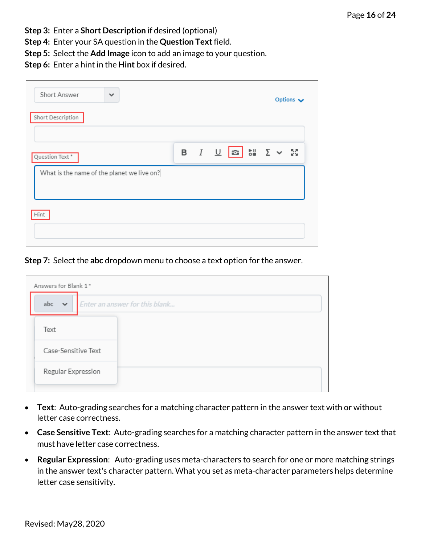- **Step 3:** Enter a **Short Description** if desired (optional)
- **Step 4:** Enter your SA question in the **Question Text**field.
- **Step 5:** Select the **Add Image** icon to add an image to your question.
- **Step 6:** Enter a hint in the **Hint** box if desired.

| Short Answer<br>$\checkmark$               |  |  |                                              |  |  |  |  |  |  |  |  |
|--------------------------------------------|--|--|----------------------------------------------|--|--|--|--|--|--|--|--|
| Short Description                          |  |  |                                              |  |  |  |  |  |  |  |  |
| Question Text *                            |  |  | <b>B</b> <i>I</i> <u>U</u> <b>a bi</b> Σ v Σ |  |  |  |  |  |  |  |  |
| What is the name of the planet we live on? |  |  |                                              |  |  |  |  |  |  |  |  |
| Hint                                       |  |  |                                              |  |  |  |  |  |  |  |  |
|                                            |  |  |                                              |  |  |  |  |  |  |  |  |

**Step 7:** Select the **abc** dropdown menu to choose a text option for the answer.

| Answers for Blank 1* |                                |  |  |  |  |  |  |  |  |  |  |
|----------------------|--------------------------------|--|--|--|--|--|--|--|--|--|--|
| abc $\sim$           | Enter an answer for this blank |  |  |  |  |  |  |  |  |  |  |
| Text                 |                                |  |  |  |  |  |  |  |  |  |  |
| Case-Sensitive Text  |                                |  |  |  |  |  |  |  |  |  |  |
| Regular Expression   |                                |  |  |  |  |  |  |  |  |  |  |

- **Text**: Auto-grading searches for a matching character pattern in the answer text with or without letter case correctness.
- **Case Sensitive Text**: Auto-grading searches for a matching character pattern in the answer text that must have letter case correctness.
- **Regular Expression**: Auto-grading uses meta-characters to search for one or more matching strings in the answer text's character pattern. What you set as meta-character parameters helps determine letter case sensitivity.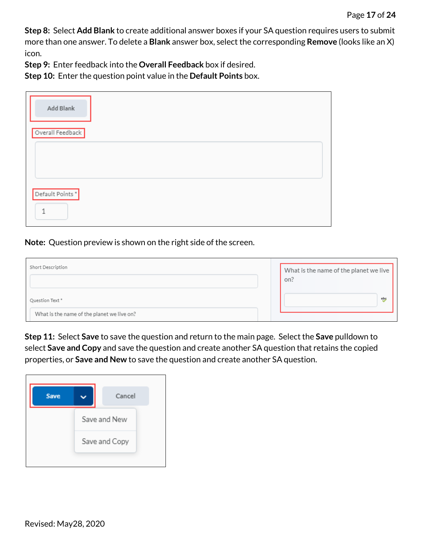**Step 8:** Select **Add Blank** to create additional answer boxes if your SA question requires users to submit more than one answer. To delete a **Blank** answer box, select the corresponding **Remove** (looks like an X) icon.

**Step 9:** Enter feedback into the **Overall Feedback** box if desired.

**Step 10:** Enter the question point value in the **Default Points** box.

| Add Blank        |  |
|------------------|--|
| Overall Feedback |  |
|                  |  |
| Default Points*  |  |

**Note:** Question preview is shown on the right side of the screen.

| Short Description                          | What is the name of the planet we live |  |  |  |  |  |
|--------------------------------------------|----------------------------------------|--|--|--|--|--|
|                                            | on?                                    |  |  |  |  |  |
| Question Text *                            | $\frac{ab}{b}$                         |  |  |  |  |  |
| What is the name of the planet we live on? |                                        |  |  |  |  |  |

**Step 11:** Select **Save** to save the question and return to the main page. Select the **Save** pulldown to select **Save and Copy** and save the question and create another SA question that retains the copied properties, or **Save and New** to save the question and create another SA question.

<span id="page-16-0"></span>

| Save | Cancel        |
|------|---------------|
|      | Save and New  |
|      | Save and Copy |
|      |               |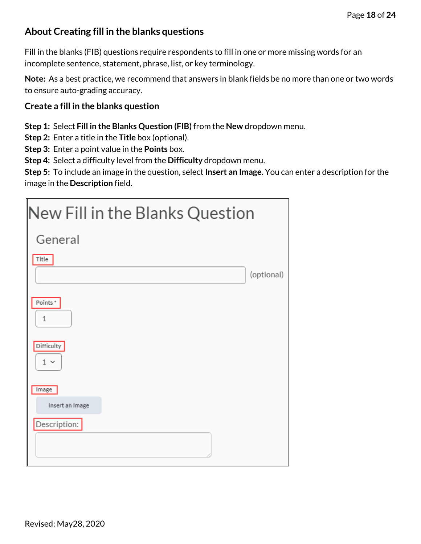### **About Creating fill in the blanks questions**

Fill in the blanks (FIB) questions require respondents to fill in one or more missing words for an incomplete sentence, statement, phrase, list, or key terminology.

**Note:** As a best practice, we recommend that answers in blank fields be no more than one or two words to ensure auto-grading accuracy.

#### **Create a fill in the blanks question**

**Step 1:** Select **Fill in the Blanks Question (FIB)** from the **New** dropdown menu.

**Step 2:** Enter a title in the **Title** box (optional).

**Step 3:** Enter a point value in the **Points** box.

**Step 4:** Select a difficulty level from the **Difficulty** dropdown menu.

**Step 5:** To include an image in the question, select **Insert an Image**. You can enter a description for the image in the **Description** field.

| New Fill in the Blanks Question |            |
|---------------------------------|------------|
| General                         |            |
| Title                           |            |
|                                 | (optional) |
| Points*<br>$1\,$                |            |
| Difficulty<br>$1 -$             |            |
| Image                           |            |
| Insert an Image                 |            |
| Description:                    |            |
|                                 |            |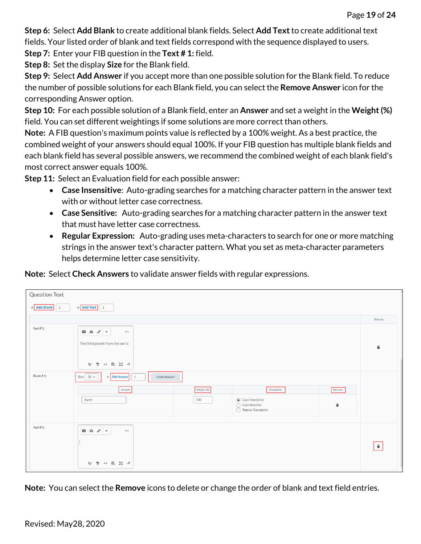**Step 6:** Select **Add Blank** to create additional blank fields. Select **Add Text**to create additional text fields. Your listed order of blank and text fields correspond with the sequence displayed to users.

**Step 7:** Enter your FIB question in the **Text # 1:** field.

**Step 8:** Set the display **Size** for the Blank field.

**Step 9:** Select **Add Answer** if you accept more than one possible solution for the Blank field. To reduce the number of possible solutions for each Blank field, you can select the **Remove Answer** icon for the corresponding Answer option.

**Step 10:** For each possible solution of a Blank field, enter an **Answer** and set a weight in the **Weight (%)** field. You can set different weightings if some solutions are more correct than others.

**Note:** A FIB question's maximum points value is reflected by a 100% weight. As a best practice, the combined weight of your answers should equal 100%. If your FIB question has multiple blank fields and each blank field has several possible answers, we recommend the combined weight of each blank field's most correct answer equals 100%.

**Step 11:** Select an Evaluation field for each possible answer:

- **Case Insensitive**: Auto-grading searches for a matching character pattern in the answer text with or without letter case correctness.
- **Case Sensitive:** Auto-grading searches for a matching character pattern in the answer text that must have letter case correctness.
- **Regular Expression:** Auto-grading uses meta-characters to search for one or more matching strings in the answer text's character pattern. What you set as meta-character parameters helps determine letter case sensitivity.

**Note:** Select **Check Answers** to validate answer fields with regular expressions.

| <b>Question Text</b>                       |                                                                                                                                                                                                                                                                                                                            |                    |  |  |  |  |  |  |  |  |  |
|--------------------------------------------|----------------------------------------------------------------------------------------------------------------------------------------------------------------------------------------------------------------------------------------------------------------------------------------------------------------------------|--------------------|--|--|--|--|--|--|--|--|--|
| $+$ Add Text 1<br>+ Add Blank<br>$\vert$ 1 |                                                                                                                                                                                                                                                                                                                            |                    |  |  |  |  |  |  |  |  |  |
|                                            |                                                                                                                                                                                                                                                                                                                            | Remove             |  |  |  |  |  |  |  |  |  |
| Text $# 1$ :                               | $\begin{array}{ c c c c c }\hline \textbf{E} & \textbf{E} & \textbf{E} & \textbf{E} \\ \hline \end{array} \hspace{0.25cm} \begin{array}{ c c c c c c }\hline \textbf{E} & \textbf{E} & \textbf{E} & \textbf{E} \\ \hline \textbf{E} & \textbf{E} & \textbf{E} & \textbf{E} & \textbf{E} \\ \hline \end{array}$<br>$\cdots$ |                    |  |  |  |  |  |  |  |  |  |
|                                            | The third planet from the sun is                                                                                                                                                                                                                                                                                           | û                  |  |  |  |  |  |  |  |  |  |
|                                            | $\begin{array}{ccccccccc} \mathbb{A} & \mathbb{P} & \mathbb{P} & \omega & \mathbb{E} & \mathbb{A} & \mathbb{A} \end{array}$                                                                                                                                                                                                |                    |  |  |  |  |  |  |  |  |  |
| Blank #1:                                  | Size:<br>$30\sim$<br>+ Add Answer<br>Check Answers<br>1                                                                                                                                                                                                                                                                    |                    |  |  |  |  |  |  |  |  |  |
|                                            | Weight (%)<br>Evaluation<br>Answer<br>Remove                                                                                                                                                                                                                                                                               |                    |  |  |  |  |  |  |  |  |  |
|                                            | $\circledbullet$ Case Insensitive<br>Earth<br>100<br>Case Sensitive<br>û<br>∩<br>Regular Expression                                                                                                                                                                                                                        |                    |  |  |  |  |  |  |  |  |  |
|                                            |                                                                                                                                                                                                                                                                                                                            |                    |  |  |  |  |  |  |  |  |  |
| Text $#2$ :                                | $\begin{array}{ c c c c c }\hline \textbf{E} & \textbf{E} & \textbf{B}^0 & \textbf{F} \\ \hline \end{array}$<br>$\cdots$                                                                                                                                                                                                   |                    |  |  |  |  |  |  |  |  |  |
|                                            |                                                                                                                                                                                                                                                                                                                            | $\hat{\mathbf{u}}$ |  |  |  |  |  |  |  |  |  |
|                                            | A) B (s) E 【 】 /                                                                                                                                                                                                                                                                                                           |                    |  |  |  |  |  |  |  |  |  |

**Note:** You can select the **Remove** icons to delete or change the order of blank and text field entries.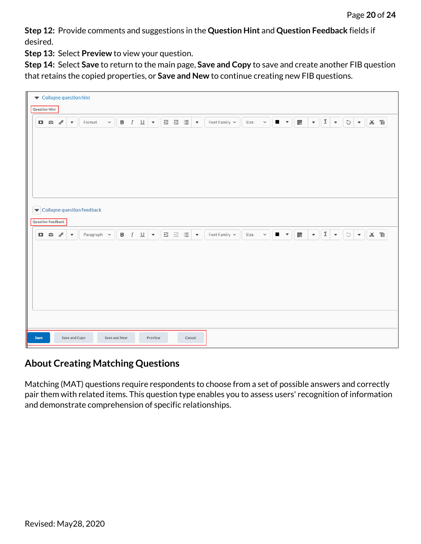**Step 12:** Provide comments and suggestions in the **Question Hint** and **Question Feedback** fields if desired.

**Step 13:** Select **Preview** to view your question.

**Step 14:** Select **Save** to return to the main page, **Save and Copy** to save and create another FIB question that retains the copied properties, or **Save and New** to continue creating new FIB questions.

| Collapse question hint<br>Question Hint |              |                          |                          |                            |              |  |  |                                                                    |         |  |  |        |  |  |                    |      |        |                                        |                |   |                          |          |                                        |                     |                          |     |  |
|-----------------------------------------|--------------|--------------------------|--------------------------|----------------------------|--------------|--|--|--------------------------------------------------------------------|---------|--|--|--------|--|--|--------------------|------|--------|----------------------------------------|----------------|---|--------------------------|----------|----------------------------------------|---------------------|--------------------------|-----|--|
| D.                                      | $\mathbf{c}$ | $\sigma^{\!\mathcal{O}}$ | $\overline{\phantom{a}}$ | Format                     |              |  |  |                                                                    |         |  |  |        |  |  | Font Family $\sim$ | Size | $\sim$ |                                        | $\blacksquare$ | 鸜 |                          |          | $\mathbf{v}$ $\mathbf{Z}$ $\mathbf{v}$ | 5 ★ 8 車             |                          |     |  |
|                                         |              |                          |                          |                            |              |  |  |                                                                    |         |  |  |        |  |  |                    |      |        |                                        |                |   |                          |          |                                        |                     |                          |     |  |
|                                         |              |                          |                          |                            |              |  |  |                                                                    |         |  |  |        |  |  |                    |      |        |                                        |                |   |                          |          |                                        |                     |                          |     |  |
|                                         |              |                          |                          |                            |              |  |  |                                                                    |         |  |  |        |  |  |                    |      |        |                                        |                |   |                          |          |                                        |                     |                          |     |  |
|                                         |              | Question Feedback        |                          | Collapse question feedback |              |  |  |                                                                    |         |  |  |        |  |  |                    |      |        |                                        |                |   |                          |          |                                        |                     |                          |     |  |
|                                         | 口齿           | $\sigma^{\circ}$         | $\overline{\phantom{a}}$ | Paragraph ~                |              |  |  | <b>B</b> $I \cup  \mathbf{v} $ $\equiv \equiv \equiv  \mathbf{v} $ |         |  |  |        |  |  | Font Family $\sim$ | Size |        | $\mathbf{v} = \mathbf{v} + \mathbf{v}$ |                | 騦 | $\overline{\phantom{a}}$ | $\Sigma$ | $\scriptstyle\rm v$                    | $\circlearrowright$ | $\overline{\phantom{a}}$ | ※ 盲 |  |
|                                         |              |                          |                          |                            |              |  |  |                                                                    |         |  |  |        |  |  |                    |      |        |                                        |                |   |                          |          |                                        |                     |                          |     |  |
|                                         |              |                          |                          |                            |              |  |  |                                                                    |         |  |  |        |  |  |                    |      |        |                                        |                |   |                          |          |                                        |                     |                          |     |  |
|                                         |              |                          |                          |                            |              |  |  |                                                                    |         |  |  |        |  |  |                    |      |        |                                        |                |   |                          |          |                                        |                     |                          |     |  |
|                                         |              |                          |                          |                            |              |  |  |                                                                    |         |  |  |        |  |  |                    |      |        |                                        |                |   |                          |          |                                        |                     |                          |     |  |
|                                         |              |                          |                          |                            |              |  |  |                                                                    |         |  |  |        |  |  |                    |      |        |                                        |                |   |                          |          |                                        |                     |                          |     |  |
|                                         |              |                          |                          |                            |              |  |  |                                                                    |         |  |  |        |  |  |                    |      |        |                                        |                |   |                          |          |                                        |                     |                          |     |  |
| Save                                    |              |                          | Save and Copy            |                            | Save and New |  |  |                                                                    | Preview |  |  | Cancel |  |  |                    |      |        |                                        |                |   |                          |          |                                        |                     |                          |     |  |

### <span id="page-19-0"></span>**About Creating Matching Questions**

Matching (MAT) questions require respondents to choose from a set of possible answers and correctly pair them with related items. This question type enables you to assess users' recognition of information and demonstrate comprehension of specific relationships.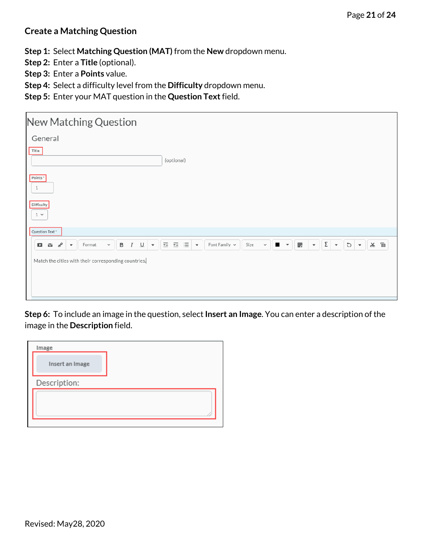#### **Create a Matching Question**

**Step 1:** Select **Matching Question (MAT)** from the **New** dropdown menu.

- **Step 2:** Enter a **Title** (optional).
- **Step 3:** Enter a **Points** value.
- **Step 4:** Select a difficulty level from the **Difficulty** dropdown menu.
- **Step 5:** Enter your MAT question in the **Question Text**field.

| New Matching Question                                                                                                                        |                                                                                                                                                                                          |  |  |  |  |  |  |  |  |  |  |  |  |
|----------------------------------------------------------------------------------------------------------------------------------------------|------------------------------------------------------------------------------------------------------------------------------------------------------------------------------------------|--|--|--|--|--|--|--|--|--|--|--|--|
| General                                                                                                                                      |                                                                                                                                                                                          |  |  |  |  |  |  |  |  |  |  |  |  |
| $\begin{array}{c} \text{Title} \\ \end{array}$                                                                                               | (optional)                                                                                                                                                                               |  |  |  |  |  |  |  |  |  |  |  |  |
| Points*<br>1                                                                                                                                 |                                                                                                                                                                                          |  |  |  |  |  |  |  |  |  |  |  |  |
| Difficulty<br>$1 -$                                                                                                                          |                                                                                                                                                                                          |  |  |  |  |  |  |  |  |  |  |  |  |
| Question Text *                                                                                                                              |                                                                                                                                                                                          |  |  |  |  |  |  |  |  |  |  |  |  |
| $\, {\bf B}$<br>್<br>I<br>$\sqcup$<br>$\checkmark$<br>G.<br>Format<br>$\overline{\phantom{a}}$<br>$\blacksquare$<br>$\overline{\phantom{a}}$ | $\bullet$ $\mathbb{Z}$<br>※ 『<br>$\equiv$<br>医细胞<br>$\bullet$ 0<br>騦<br>Font Family $\sim$<br>Size<br>$\mathbf{r}$<br>$\overline{\phantom{a}}$<br>$\overline{\mathbf v}$<br>$\checkmark$ |  |  |  |  |  |  |  |  |  |  |  |  |
| Match the cities with their corresponding countries.                                                                                         |                                                                                                                                                                                          |  |  |  |  |  |  |  |  |  |  |  |  |

**Step 6:** To include an image in the question, select **Insert an Image**. You can enter a description of the image in the **Description** field.

| Image           |  |
|-----------------|--|
| Insert an Image |  |
| Description:    |  |
|                 |  |
|                 |  |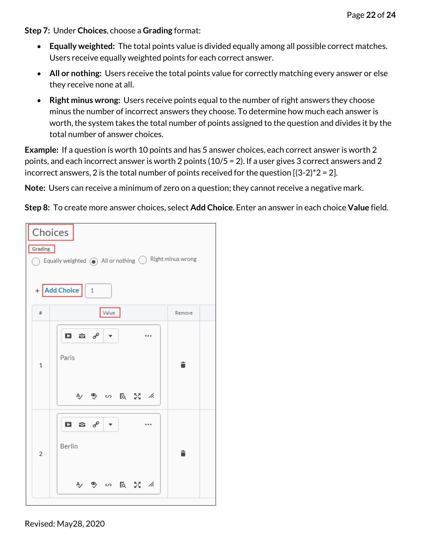**Step 7:** Under **Choices**, choose a **Grading** format:

- **Equally weighted:** The total points value is divided equally among all possible correct matches. Users receive equally weighted points for each correct answer.
- **All or nothing:** Users receive the total points value for correctly matching every answer or else they receive none at all.
- **Right minus wrong:** Users receive points equal to the number of right answers they choose minus the number of incorrect answers they choose. To determine how much each answer is worth, the system takes the total number of points assigned to the question and divides it by the total number of answer choices.

**Example:** If a question is worth 10 points and has 5 answer choices, each correct answer is worth 2 points, and each incorrect answer is worth 2 points (10/5 = 2). If a user gives 3 correct answers and 2 incorrect answers, 2 is the total number of points received for the question  $[(3-2)^*2 = 2]$ .

**Note:** Users can receive a minimum of zero on a question; they cannot receive a negative mark.

**Step 8:** To create more answer choices, select **Add Choice**. Enter an answer in each choice **Value** field.

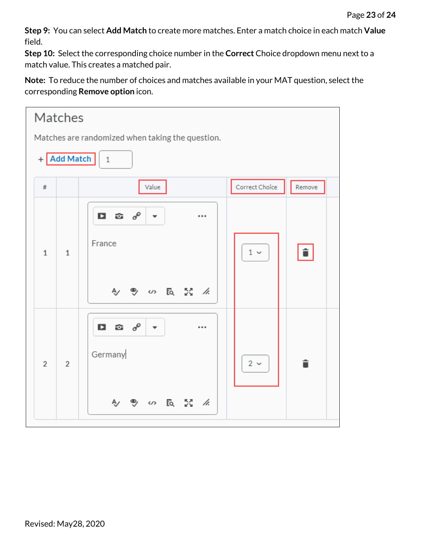**Step 9:** You can select **Add Match** to create more matches. Enter a match choice in each match **Value** field.

**Step 10:** Select the corresponding choice number in the **Correct** Choice dropdown menu next to a match value. This creates a matched pair.

**Note:** To reduce the number of choices and matches available in your MAT question, select the corresponding **Remove option** icon.

| Matches                                          |                                                                               |                          |  |  |  |  |  |  |  |  |  |  |
|--------------------------------------------------|-------------------------------------------------------------------------------|--------------------------|--|--|--|--|--|--|--|--|--|--|
| Matches are randomized when taking the question. |                                                                               |                          |  |  |  |  |  |  |  |  |  |  |
| + Add Match<br>1                                 |                                                                               |                          |  |  |  |  |  |  |  |  |  |  |
| $\#$                                             | Value                                                                         | Correct Choice<br>Remove |  |  |  |  |  |  |  |  |  |  |
| $\mathbf{1}$<br>$\overline{1}$                   | ස ග්<br>$\blacksquare$<br>$\overline{\phantom{a}}$<br><br>France              | î<br>$1\,$ $\sim$        |  |  |  |  |  |  |  |  |  |  |
| $\overline{2}$<br>$\overline{2}$                 | பு ஓ ∥<br><br>$\overline{\phantom{a}}$<br>Germany<br>ey の la ご <i>仏</i><br>Ą, | î<br>$2 \sim$            |  |  |  |  |  |  |  |  |  |  |